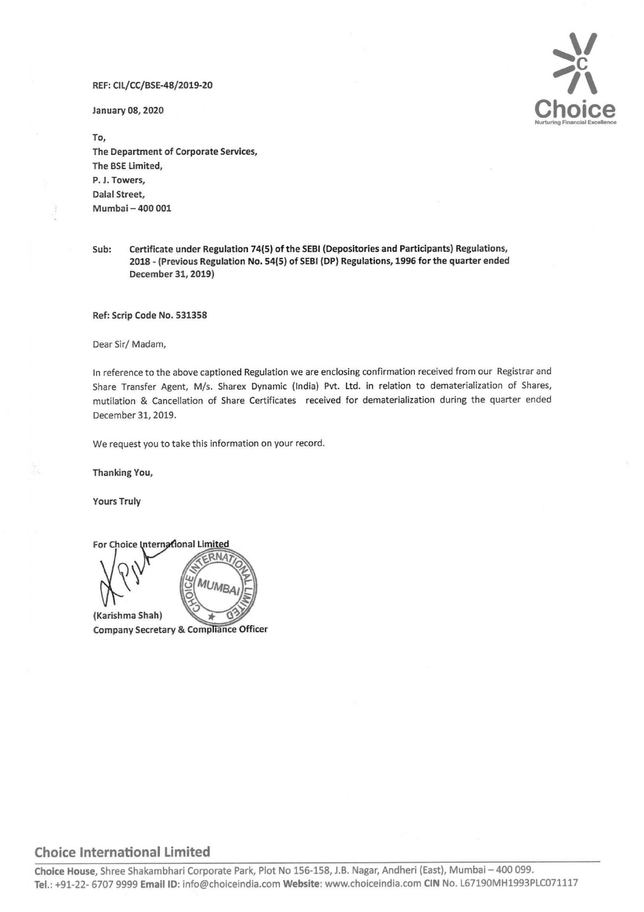

To, The Department of Corporate Services, The BSE Limited, P. J. Towers, Dalal Street, Mumbai — 400 001

Sub: Certificate under Regulation 74(5) of the SEBI (Depositories and Participants) Regulations, 2018 - (Previous Regulation No. 54(5) of SEBI (DP) Regulations, 1996 for the quarter ended December 31, 2019)

Ref: Scrip Code No. 531358

Dear Sir/ Madam,

In reference to the above captioned Regulation we are enclosing confirmation received from our Registrar and Share Transfer Agent, M/s. Sharex Dynamic (India) Pvt. Ltd. in relation to dematerialization of Shares, mutilation & Cancellation of Share Certificates received for dematerialization during the quarter ended December 31, 2019. RET: CU/CC/INSE-487828-20<br>
The Content of Composite Services,<br>
The Content of Composite Services,<br>
The Content of Composite Services,<br>
D.A. Towers,<br>
D.A. Towers,<br>
D.A. Towers,<br>
D.A. Towers,<br>
D.A. Towers,<br>
D.A. Towers,<br>
D.

We request you to take this information on your record.

Thanking You,

Yours Truly



## Choice International Limited